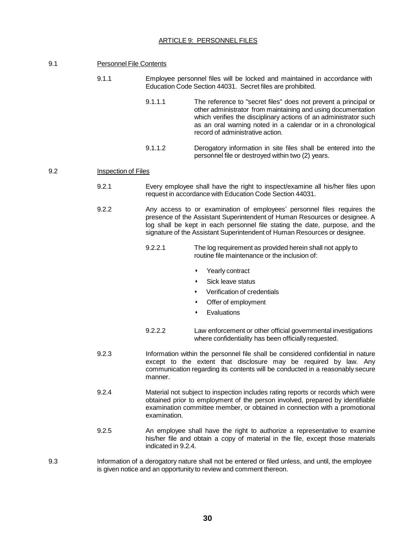## ARTICLE 9: PERSONNEL FILES

## 9.1 Personnel File Contents

- 9.1.1 Employee personnel files will be locked and maintained in accordance with Education Code Section 44031. Secret files are prohibited.
	- 9.1.1.1 The reference to "secret files" does not prevent a principal or other administrator from maintaining and using documentation which verifies the disciplinary actions of an administrator such as an oral warning noted in a calendar or in a chronological record of administrative action.
	- 9.1.1.2 Derogatory information in site files shall be entered into the personnel file or destroyed within two (2) years.

## 9.2 Inspection of Files

- 9.2.1 Every employee shall have the right to inspect/examine all his/her files upon request in accordance with Education Code Section 44031.
- 9.2.2 Any access to or examination of employees' personnel files requires the presence of the Assistant Superintendent of Human Resources or designee. A log shall be kept in each personnel file stating the date, purpose, and the signature of the Assistant Superintendent of Human Resources or designee.
	- 9.2.2.1 The log requirement as provided herein shall not apply to routine file maintenance or the inclusion of:
		- Yearly contract
		- Sick leave status
		- Verification of credentials
		- Offer of employment
		- **Evaluations**
	- 9.2.2.2 Law enforcement or other official governmental investigations where confidentiality has been officially requested.
- 9.2.3 Information within the personnel file shall be considered confidential in nature except to the extent that disclosure may be required by law. Any communication regarding its contents will be conducted in a reasonably secure manner.
- 9.2.4 Material not subject to inspection includes rating reports or records which were obtained prior to employment of the person involved, prepared by identifiable examination committee member, or obtained in connection with a promotional examination.
- 9.2.5 An employee shall have the right to authorize a representative to examine his/her file and obtain a copy of material in the file, except those materials indicated in 9.2.4.
- 9.3 Information of a derogatory nature shall not be entered or filed unless, and until, the employee is given notice and an opportunity to review and comment thereon.